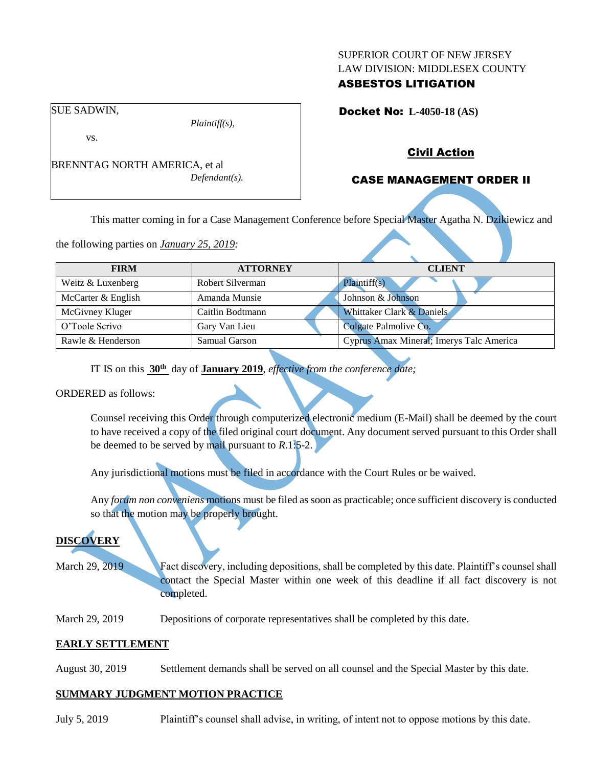#### SUPERIOR COURT OF NEW JERSEY LAW DIVISION: MIDDLESEX COUNTY

# ASBESTOS LITIGATION

Docket No: **L-4050-18 (AS)** 

SUE SADWIN,

vs.

BRENNTAG NORTH AMERICA, et al *Defendant(s).*

*Plaintiff(s),*

# Civil Action

# CASE MANAGEMENT ORDER II

This matter coming in for a Case Management Conference before Special Master Agatha N. Dzikiewicz and

the following parties on *January 25, 2019:*

| <b>FIRM</b>        | <b>ATTORNEY</b>  | <b>CLIENT</b>                            |
|--------------------|------------------|------------------------------------------|
| Weitz & Luxenberg  | Robert Silverman | Plaintiff(s)                             |
| McCarter & English | Amanda Munsie    | Johnson & Johnson                        |
| McGivney Kluger    | Caitlin Bodtmann | Whittaker Clark & Daniels                |
| O'Toole Scrivo     | Gary Van Lieu    | Colgate Palmolive Co.                    |
| Rawle & Henderson  | Samual Garson    | Cyprus Amax Mineral; Imerys Talc America |

IT IS on this **30th** day of **January 2019**, *effective from the conference date;*

## ORDERED as follows:

Counsel receiving this Order through computerized electronic medium (E-Mail) shall be deemed by the court to have received a copy of the filed original court document. Any document served pursuant to this Order shall be deemed to be served by mail pursuant to *R*.1:5-2.

Any jurisdictional motions must be filed in accordance with the Court Rules or be waived.

Any *forum non conveniens* motions must be filed as soon as practicable; once sufficient discovery is conducted so that the motion may be properly brought.

# **DISCOVERY**

March 29, 2019 **Fact discovery, including depositions, shall be completed by this date. Plaintiff's counsel shall** contact the Special Master within one week of this deadline if all fact discovery is not completed.

March 29, 2019 Depositions of corporate representatives shall be completed by this date.

## **EARLY SETTLEMENT**

August 30, 2019 Settlement demands shall be served on all counsel and the Special Master by this date.

## **SUMMARY JUDGMENT MOTION PRACTICE**

July 5, 2019 Plaintiff's counsel shall advise, in writing, of intent not to oppose motions by this date.